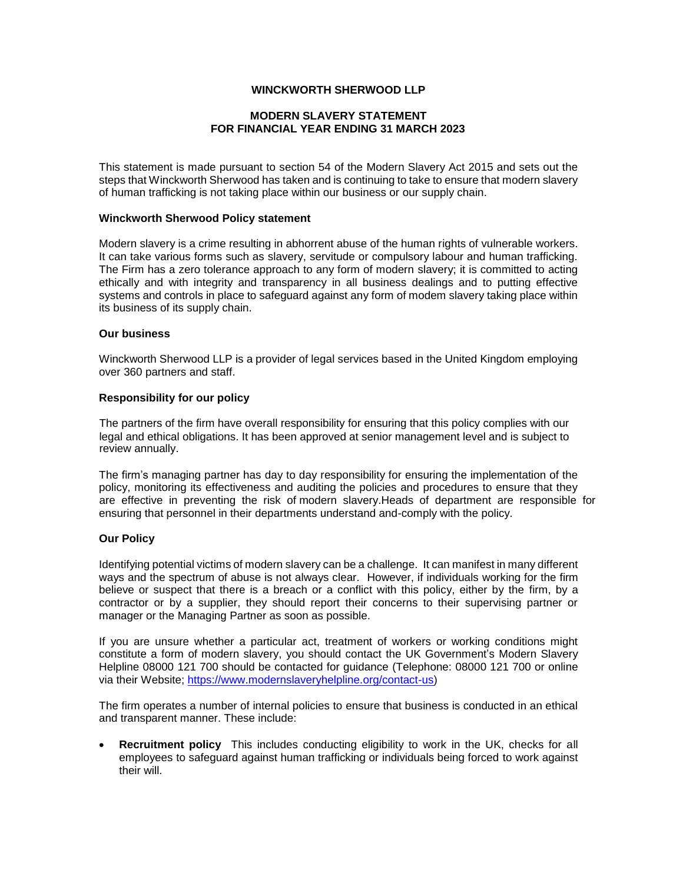# **WINCKWORTH SHERWOOD LLP**

# **MODERN SLAVERY STATEMENT FOR FINANCIAL YEAR ENDING 31 MARCH 2023**

This statement is made pursuant to section 54 of the Modern Slavery Act 2015 and sets out the steps that Winckworth Sherwood has taken and is continuing to take to ensure that modern slavery of human trafficking is not taking place within our business or our supply chain.

#### **Winckworth Sherwood Policy statement**

Modern slavery is a crime resulting in abhorrent abuse of the human rights of vulnerable workers. It can take various forms such as slavery, servitude or compulsory labour and human trafficking. The Firm has a zero tolerance approach to any form of modern slavery; it is committed to acting ethically and with integrity and transparency in all business dealings and to putting effective systems and controls in place to safeguard against any form of modem slavery taking place within its business of its supply chain.

#### **Our business**

Winckworth Sherwood LLP is a provider of legal services based in the United Kingdom employing over 360 partners and staff.

### **Responsibility for our policy**

The partners of the firm have overall responsibility for ensuring that this policy complies with our legal and ethical obligations. It has been approved at senior management level and is subject to review annually.

The firm's managing partner has day to day responsibility for ensuring the implementation of the policy, monitoring its effectiveness and auditing the policies and procedures to ensure that they ensuring that personnel in their departments understand and-comply with the policy. are effective in preventing the risk of modern slavery.Heads of department are responsible for

## **Our Policy**

Identifying potential victims of modern slavery can be a challenge. It can manifest in many different ways and the spectrum of abuse is not always clear. However, if individuals working for the firm believe or suspect that there is a breach or a conflict with this policy, either by the firm, by a contractor or by a supplier, they should report their concerns to their supervising partner or manager or the Managing Partner as soon as possible.

If you are unsure whether a particular act, treatment of workers or working conditions might constitute a form of modern slavery, you should contact the UK Government's Modern Slavery Helpline 08000 121 700 should be contacted for guidance (Telephone: 08000 121 700 or online via their Website; [https://www.modernslaveryhelpline.org/contact-us\)](https://www.modernslaveryhelpline.org/contact-us)

The firm operates a number of internal policies to ensure that business is conducted in an ethical and transparent manner. These include:

**Recruitment policy** This includes conducting eligibility to work in the UK, checks for all employees to safeguard against human trafficking or individuals being forced to work against their will.